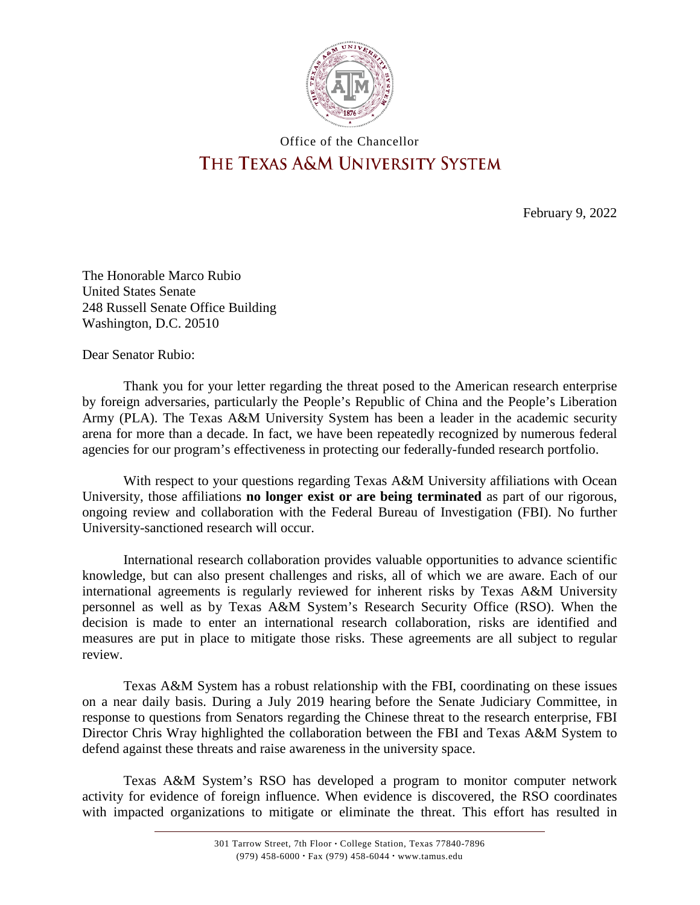

## Office of the Chancellor THE TEXAS A&M UNIVERSITY SYSTEM

February 9, 2022

The Honorable Marco Rubio United States Senate 248 Russell Senate Office Building Washington, D.C. 20510

Dear Senator Rubio:

Thank you for your letter regarding the threat posed to the American research enterprise by foreign adversaries, particularly the People's Republic of China and the People's Liberation Army (PLA). The Texas A&M University System has been a leader in the academic security arena for more than a decade. In fact, we have been repeatedly recognized by numerous federal agencies for our program's effectiveness in protecting our federally-funded research portfolio.

With respect to your questions regarding Texas A&M University affiliations with Ocean University, those affiliations **no longer exist or are being terminated** as part of our rigorous, ongoing review and collaboration with the Federal Bureau of Investigation (FBI). No further University-sanctioned research will occur.

International research collaboration provides valuable opportunities to advance scientific knowledge, but can also present challenges and risks, all of which we are aware. Each of our international agreements is regularly reviewed for inherent risks by Texas A&M University personnel as well as by Texas A&M System's Research Security Office (RSO). When the decision is made to enter an international research collaboration, risks are identified and measures are put in place to mitigate those risks. These agreements are all subject to regular review.

Texas A&M System has a robust relationship with the FBI, coordinating on these issues on a near daily basis. During a July 2019 hearing before the Senate Judiciary Committee, in response to questions from Senators regarding the Chinese threat to the research enterprise, FBI Director Chris Wray highlighted the collaboration between the FBI and Texas A&M System to defend against these threats and raise awareness in the university space.

Texas A&M System's RSO has developed a program to monitor computer network activity for evidence of foreign influence. When evidence is discovered, the RSO coordinates with impacted organizations to mitigate or eliminate the threat. This effort has resulted in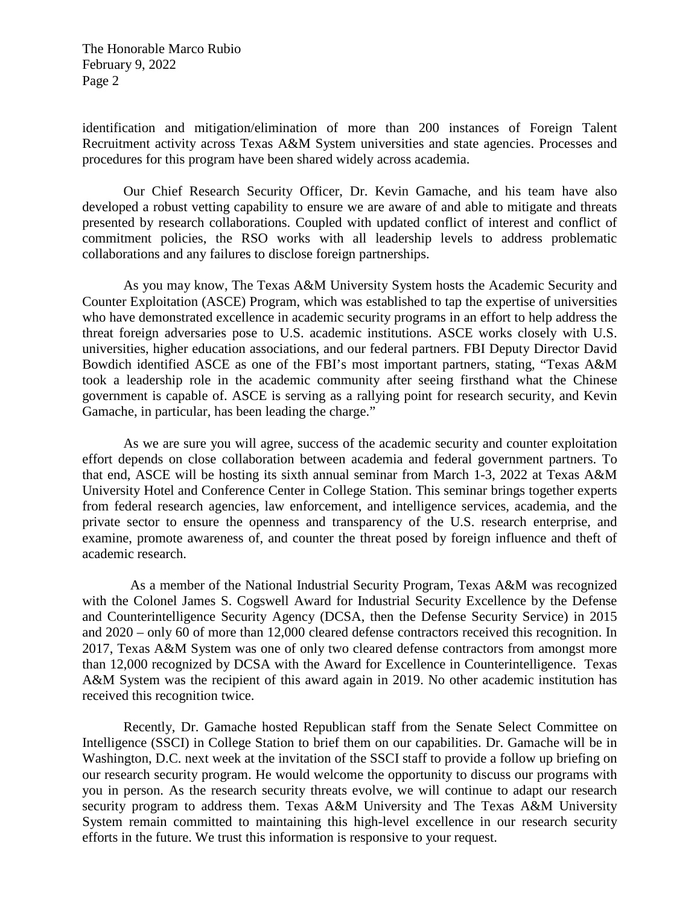The Honorable Marco Rubio February 9, 2022 Page 2

identification and mitigation/elimination of more than 200 instances of Foreign Talent Recruitment activity across Texas A&M System universities and state agencies. Processes and procedures for this program have been shared widely across academia.

Our Chief Research Security Officer, Dr. Kevin Gamache, and his team have also developed a robust vetting capability to ensure we are aware of and able to mitigate and threats presented by research collaborations. Coupled with updated conflict of interest and conflict of commitment policies, the RSO works with all leadership levels to address problematic collaborations and any failures to disclose foreign partnerships.

As you may know, The Texas A&M University System hosts the Academic Security and Counter Exploitation (ASCE) Program, which was established to tap the expertise of universities who have demonstrated excellence in academic security programs in an effort to help address the threat foreign adversaries pose to U.S. academic institutions. ASCE works closely with U.S. universities, higher education associations, and our federal partners. FBI Deputy Director David Bowdich identified ASCE as one of the FBI's most important partners, stating, "Texas A&M took a leadership role in the academic community after seeing firsthand what the Chinese government is capable of. ASCE is serving as a rallying point for research security, and Kevin Gamache, in particular, has been leading the charge."

As we are sure you will agree, success of the academic security and counter exploitation effort depends on close collaboration between academia and federal government partners. To that end, ASCE will be hosting its sixth annual seminar from March 1-3, 2022 at Texas A&M University Hotel and Conference Center in College Station. This seminar brings together experts from federal research agencies, law enforcement, and intelligence services, academia, and the private sector to ensure the openness and transparency of the U.S. research enterprise, and examine, promote awareness of, and counter the threat posed by foreign influence and theft of academic research.

 As a member of the National Industrial Security Program, Texas A&M was recognized with the Colonel James S. Cogswell Award for Industrial Security Excellence by the Defense and Counterintelligence Security Agency (DCSA, then the Defense Security Service) in 2015 and 2020 – only 60 of more than 12,000 cleared defense contractors received this recognition. In 2017, Texas A&M System was one of only two cleared defense contractors from amongst more than 12,000 recognized by DCSA with the Award for Excellence in Counterintelligence. Texas A&M System was the recipient of this award again in 2019. No other academic institution has received this recognition twice.

Recently, Dr. Gamache hosted Republican staff from the Senate Select Committee on Intelligence (SSCI) in College Station to brief them on our capabilities. Dr. Gamache will be in Washington, D.C. next week at the invitation of the SSCI staff to provide a follow up briefing on our research security program. He would welcome the opportunity to discuss our programs with you in person. As the research security threats evolve, we will continue to adapt our research security program to address them. Texas A&M University and The Texas A&M University System remain committed to maintaining this high-level excellence in our research security efforts in the future. We trust this information is responsive to your request.